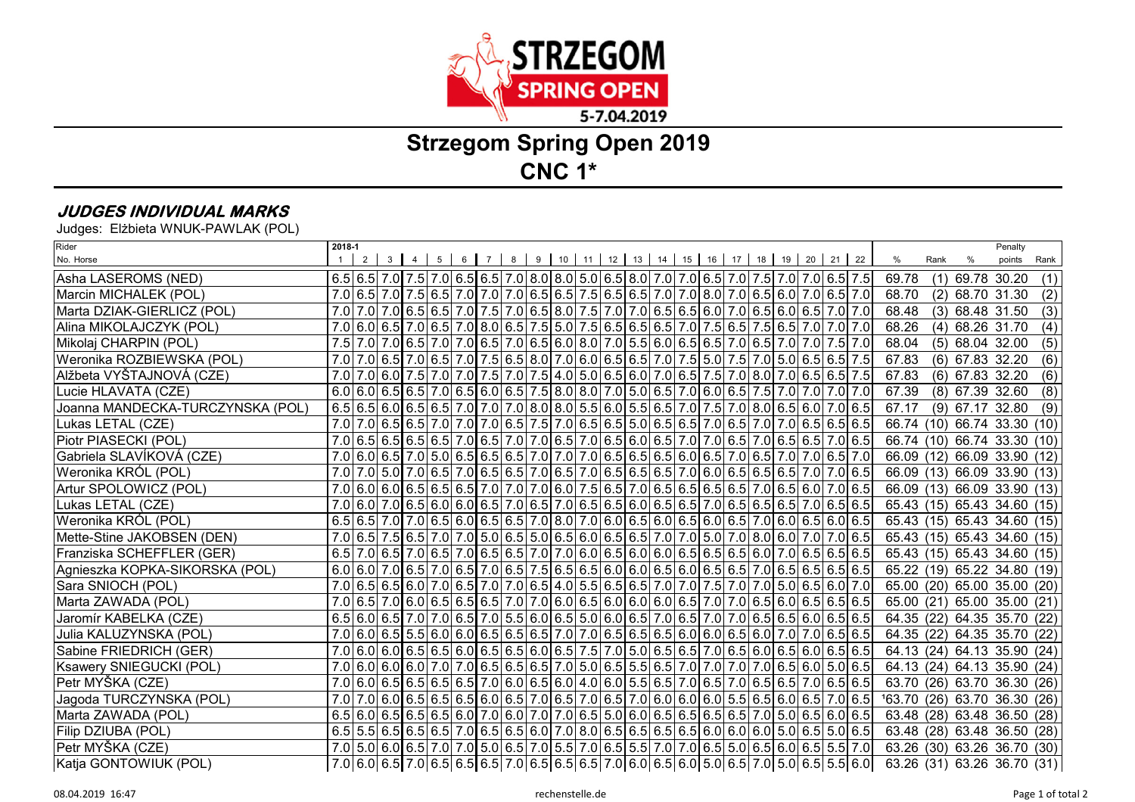

## **Strzegom Spring Open 2019CNC 1\***

## **JUDGES INDIVIDUAL MARKS**

Judges: Elżbieta WNUK-PAWLAK (POL)

| Rider                            | 2018-1 |   |                |           |                |          |                 |                |         |  |          |  |         |    |  |  |                                                                                                                                                                                                                                                                                                       |                              |      |                   | Penalty                   |      |
|----------------------------------|--------|---|----------------|-----------|----------------|----------|-----------------|----------------|---------|--|----------|--|---------|----|--|--|-------------------------------------------------------------------------------------------------------------------------------------------------------------------------------------------------------------------------------------------------------------------------------------------------------|------------------------------|------|-------------------|---------------------------|------|
| No. Horse                        |        | 2 | 3 <sup>1</sup> | $4 \quad$ | 5 <sub>1</sub> | $6 \mid$ | $7\overline{ }$ | 8 <sub>1</sub> | 9 10 11 |  | 12 13 14 |  | $15$ 16 | 17 |  |  | 18 19 20 21 22                                                                                                                                                                                                                                                                                        | $\%$                         | Rank | %                 | points                    | Rank |
| Asha LASEROMS (NED)              |        |   |                |           |                |          |                 |                |         |  |          |  |         |    |  |  | $6.5$ 6.5 7.0 7.5 7.0 6.5 7.0 6.5 7.0 8.0 8.0 5.0 6.5 8.0 7.0 7.0 6.5 7.0 7.5 7.0 7.0 6.5 7.5                                                                                                                                                                                                         | 69.78                        | (1)  | 69.78 30.20       |                           | (1)  |
| Marcin MICHALEK (POL)            |        |   |                |           |                |          |                 |                |         |  |          |  |         |    |  |  | 7.0 6.5 7.0 7.0 6.5 7.0 7.0 6.5 7.0 7.0 6.5 6.5 6.5 6.5 6.5 6.5 6.5 6.6 7.0 7.0 6.5 6.0 7.0 6.5 7.0                                                                                                                                                                                                   | 68.70                        | (2)  | 68.70 31.30       |                           | (2)  |
| Marta DZIAK-GIERLICZ (POL)       |        |   |                |           |                |          |                 |                |         |  |          |  |         |    |  |  | 7.0 7.0 6.5 6.0 6.5 7.0 7.0 7.5 7.0 6.5 8.0 7.5 7.0 7.0 6.5 6.6 6.0 7.0 6.5 6.0 6.5 7.0 6.5 7.0 7.0                                                                                                                                                                                                   | 68.48                        | (3)  | 68.48 31.50       |                           | (3)  |
| Alina MIKOLAJCZYK (POL)          |        |   |                |           |                |          |                 |                |         |  |          |  |         |    |  |  | 7.0 6.0 6.5 7.0 6.5 7.0 8.0 6.5 7.5 5.0 7.5 6.5 6.5 6.5 6.5 7.0 7.5 6.5 7.5 6.5 7.0 7.0 7.0                                                                                                                                                                                                           | 68.26                        | (4)  | 68.26 31.70       |                           | (4)  |
| Mikolaj CHARPIN (POL)            | 7.5    |   |                |           |                |          |                 |                |         |  |          |  |         |    |  |  | 7.0 7.5 7.0 7.0 7.0 7.0 7.5 7.0 6.5 7.0 6.5 7.0 6.5 6.0 8.0 7.0 5.5 6.0 6.5 6.5 7.0 6.5 7.0 7.5 7.0                                                                                                                                                                                                   | 68.04                        |      | $(5)$ 68.04 32.00 |                           | (5)  |
| Weronika ROZBIEWSKA (POL)        |        |   |                |           |                |          |                 |                |         |  |          |  |         |    |  |  | 7.0 7.0 6.5 7.0 6.5 7.0 6.5 7.0 7.5 6.5 8.0 7.0 6.0 6.5 6.5 6.5 7.0 7.5 5.0 7.5 7.0 5.0 6.5 6.5 7.5                                                                                                                                                                                                   | 67.83                        |      | $(6)$ 67.83 32.20 |                           | (6)  |
| Alžbeta VYŠTAJNOVÁ (CZE)         |        |   |                |           |                |          |                 |                |         |  |          |  |         |    |  |  | 7.0 7.0 6.0 7.5 7.0 7.0 7.5 7.0 7.5 7.0 7.5 4.0 5.0 6.5 6.0 7.0 6.5 7.5 7.0 8.0 7.0 6.5 6.5 7.5                                                                                                                                                                                                       | 67.83                        |      | $(6)$ 67.83 32.20 |                           | (6)  |
| Lucie HLAVATA (CZE)              |        |   |                |           |                |          |                 |                |         |  |          |  |         |    |  |  | $6.0 6.0 6.5 6.5 7.0 6.5 6.0 6.5 7.5 8.0 8.0 7.0 5.0 6.5 7.0 6.0 6.5 7.5 7.0 7.0 7.0 7.0$                                                                                                                                                                                                             | 67.39                        |      | $(8)$ 67.39 32.60 |                           | (8)  |
| Joanna MANDECKA-TURCZYNSKA (POL) |        |   |                |           |                |          |                 |                |         |  |          |  |         |    |  |  | $6.5 6.5 6.0 6.5 6.5 7.0 7.0 7.0 8.0 8.0 5.5 6.0 5.5 6.5 7.0 7.5 7.0 8.0 6.5 6.0 7.0 6.5 $                                                                                                                                                                                                            | 67.17                        |      | $(9)$ 67.17 32.80 |                           | (9)  |
| Lukas LETAL (CZE)                |        |   |                |           |                |          |                 |                |         |  |          |  |         |    |  |  | 7.0 7.0 6.5 6.5 7.0 7.0 6.5 7.0 7.0 7.0 6.5 7.5 7.0 6.5 6.5 5.0 6.5 6.5 7.0 6.5 7.0 7.0 6.5 6.5 6.5 6.5                                                                                                                                                                                               | 66.74                        | (10) |                   | 66.74 33.30               | (10) |
| Piotr PIASECKI (POL)             |        |   |                |           |                |          |                 |                |         |  |          |  |         |    |  |  | 7.0 6.5 6.5 6.5 6.5 6.5 6.5 7.0 6.5 7.0 7.0 6.5 7.0 6.5 6.0 6.5 7.0 7.0 6.5 7.0 6.5 6.5 7.0 6.5 7.0 6.5                                                                                                                                                                                               | 66.74                        |      |                   | $(10)$ 66.74 33.30 $(10)$ |      |
| Gabriela SLAVÍKOVÁ (CZE)         |        |   |                |           |                |          |                 |                |         |  |          |  |         |    |  |  | 7.0 6.5 7.0 5.0 6.5 6.5 6.5 6.5 7.0 7.0 7.0 7.0 6.5 6.5 6.5 6.6 7.0 6.5 7.0 6.5 7.0 6.5 7.0                                                                                                                                                                                                           | 66.09                        | (12) |                   | 66.09 33.90 (12)          |      |
| Weronika KRÓL (POL)              |        |   |                |           |                |          |                 |                |         |  |          |  |         |    |  |  | 7.0 7.0 6.5 7.0 6.5 7.0 6.5 7.0 6.5 7.0 6.5 7.0 6.5 6.5 6.5 6.5 6.5 6.5 6.5 6.5 7.0 6.5 7.0 6.5                                                                                                                                                                                                       | 66.09 (13)                   |      |                   | 66.09 33.90 (13)          |      |
| Artur SPOLOWICZ (POL)            |        |   |                |           |                |          |                 |                |         |  |          |  |         |    |  |  | 7.0 6.0 6.5 6.5 6.5 6.5 6.5 7.0 7.0 7.0 6.0 7.5 6.5 7.0 6.5 6.5 6.5 6.5 7.0 6.5 6.6 7.0 6.5 6.6 7.0 6.5                                                                                                                                                                                               | 66.09 (13)                   |      |                   | 66.09 33.90 (13)          |      |
| Lukas LETAL (CZE)                |        |   |                |           |                |          |                 |                |         |  |          |  |         |    |  |  | 7.0 6.0 7.0 6.5 6.5 6.0 6.6 6.5 7.0 6.5 7.0 6.5 6.5 6.0 6.5 6.5 7.0 6.5 6.5 6.5 7.0 6.5 6.5 7.0 6.5 6.5                                                                                                                                                                                               | 65.43 (15) 65.43 34.60 (15)  |      |                   |                           |      |
| Weronika KRÓL (POL)              |        |   |                |           |                |          |                 |                |         |  |          |  |         |    |  |  | $6.5 6.5 7.0 7.0 6.5 6.0 6.5 6.5 7.0 8.0 7.0 6.0 6.5 6.0 6.5 6.0 6.5 7.0 6.0 6.5 6.0 6.5 $                                                                                                                                                                                                            | 65.43 (15) 65.43 34.60 (15)  |      |                   |                           |      |
| Mette-Stine JAKOBSEN (DEN)       |        |   |                |           |                |          |                 |                |         |  |          |  |         |    |  |  | 7.0 6.5 7.5 6.5 7.0 7.0 7.0 7.0 6.5 6.0 6.5 6.0 6.5 6.0 6.5 6.6 7.0 7.0 7.0 6.0 7.0 6.0 7.0 7.0 6.5                                                                                                                                                                                                   | 65.43 (15) 65.43 34.60 (15)  |      |                   |                           |      |
| Franziska SCHEFFLER (GER)        |        |   |                |           |                |          |                 |                |         |  |          |  |         |    |  |  | $6.5$   $7.0$   $6.5$   $7.0$   $6.5$   $7.0$   $6.5$   $6.5$   $7.0$   $7.0$   $6.0$   $6.5$   $6.0$   $6.0$   $6.5$   $6.5$   $6.5$   $6.0$   $7.0$   $6.5$   $6.5$   $6.5$   $6.5$                                                                                                                 | 65.43 (15) 65.43 34.60 (15)  |      |                   |                           |      |
| Agnieszka KOPKA-SIKORSKA (POL)   |        |   |                |           |                |          |                 |                |         |  |          |  |         |    |  |  | $6.0 6.0 7.0 6.5 7.0 6.5 7.0 6.5 7.5 6.5 6.5 6.0 6.0 6.5 6.0 6.5 6.5 7.0 6.5 6.5 6.5 6.5 6.5 $                                                                                                                                                                                                        | 65.22 (19)                   |      |                   | 65.22 34.80 (19)          |      |
| Sara SNIOCH (POL)                |        |   |                |           |                |          |                 |                |         |  |          |  |         |    |  |  | 7.0 6.5 6.0 7.0 7.0 6.5 6.0 7.0 6.5 7.0 7.0 6.5 4.0 5.5 6.5 6.5 6.5 7.0 7.0 7.5 7.0 7.0 5.0 6.5 6.0 7.0                                                                                                                                                                                               | 65.00 (20) 65.00 35.00 (20)  |      |                   |                           |      |
| Marta ZAWADA (POL)               |        |   |                |           |                |          |                 |                |         |  |          |  |         |    |  |  | 7.0 6.5 7.0 6.0 6.0 6.5 6.5 6.5 6.5 7.0 7.0 6.0 6.5 6.0 6.0 6.0 6.5 7.0 7.0 6.5 6.0 6.5 6.5 6.5 6.5 6.5 6.5 1                                                                                                                                                                                         | 65.00 (21)                   |      |                   | 65.00 35.00 (21)          |      |
| Jaromír KABELKA (CZE)            |        |   |                |           |                |          |                 |                |         |  |          |  |         |    |  |  | $6.5 6.0 6.5 7.0 7.0 6.5 7.0 5.5 6.0 6.5 5.0 6.0 6.5 7.0 6.5 7.0 7.0 6.5 6.5 6.0 6.5 6.5 $                                                                                                                                                                                                            | 64.35 (22) 64.35 35.70 (22)  |      |                   |                           |      |
| Julia KALUZYNSKA (POL)           |        |   |                |           |                |          |                 |                |         |  |          |  |         |    |  |  | 7.0 6.0 6.5 5.5 6.0 6.0 6.5 6.5 6.5 6.5 7.0 7.0 6.5 6.5 6.5 6.0 6.0 6.5 6.0 7.0 7.0 6.5 6.5 6.5                                                                                                                                                                                                       | 64.35 (22)                   |      |                   | 64.35 35.70 (22)          |      |
| Sabine FRIEDRICH (GER)           |        |   |                |           |                |          |                 |                |         |  |          |  |         |    |  |  |                                                                                                                                                                                                                                                                                                       | 64.13 (24) 64.13 35.90 (24)  |      |                   |                           |      |
| Ksawery SNIEGUCKI (POL)          |        |   |                |           |                |          |                 |                |         |  |          |  |         |    |  |  | 7.0 6.0 6.0 6.0 7.0 7.0 6.5 6.5 6.5 7.0 5.0 6.5 5.5 6.5 7.0 7.0 7.0 7.0 6.5 6.0 5.0 6.5 6.0                                                                                                                                                                                                           | 64.13 (24) 64.13 35.90 (24)  |      |                   |                           |      |
| Petr MYŠKA (CZE)                 |        |   |                |           |                |          |                 |                |         |  |          |  |         |    |  |  | $7.0 6.0 6.5 6.5 6.5 6.5 7.0 6.0 6.5 6.0 4.0 6.0 5.5 6.5 7.0 6.5 7.0 6.5 6.5 7.0 6.5 6.5 6.5 6.5 $                                                                                                                                                                                                    | 63.70 (26) 63.70 36.30 (26)  |      |                   |                           |      |
| Jagoda TURCZYNSKA (POL)          | 7.0    |   |                |           |                |          |                 |                |         |  |          |  |         |    |  |  | 7.0 6.5 6.5 6.5 6.5 6.5 6.0 6.5 7.0 6.5 7.0 6.5 7.0 6.0 6.0 6.0 6.5 6.5 6.0 6.5 7.0 6.5                                                                                                                                                                                                               | 163.70 (26) 63.70 36.30 (26) |      |                   |                           |      |
| Marta ZAWADA (POL)               |        |   |                |           |                |          |                 |                |         |  |          |  |         |    |  |  | $6.5$   $6.0$   $6.5$   $6.5$   $6.5$   $6.0$   $7.0$   $6.0$   $7.0$   $7.0$   $6.5$   $5.0$   $6.0$   $6.5$   $6.5$   $6.5$   $6.5$   $7.0$   $5.0$   $6.5$   $6.0$   $6.5$   $6.5$   $6.0$   $6.5$   $6.0$   $6.5$   $6.0$                                                                         | 63.48 (28) 63.48 36.50 (28)  |      |                   |                           |      |
| Filip DZIUBA (POL)               |        |   |                |           |                |          |                 |                |         |  |          |  |         |    |  |  | $6.5$   $6.5$   $6.5$   $6.5$   $6.5$   $7.0$   $6.5$   $6.5$   $6.0$   $7.0$   $8.0$   $6.5$   $6.5$   $6.5$   $6.5$   $6.0$   $6.0$   $6.0$   $6.0$   $6.0$   $6.5$   $6.5$   $6.5$   $6.5$   $6.5$   $6.5$   $6.5$   $6.5$   $6.5$   $6.5$   $6.5$   $6.5$   $6.5$   $6.5$   $6.5$   $6.5$   $6.5$ | 63.48 (28) 63.48 36.50 (28)  |      |                   |                           |      |
| Petr MYŠKA (CZE)                 |        |   |                |           |                |          |                 |                |         |  |          |  |         |    |  |  | 7.0 5.0 6.0 6.5 7.0 7.0 7.0 7.0 6.5 7.0 6.5 7.0 6.5 7.0 6.5 7.0 7.0 6.5 5.0 6.5 6.0 6.5 5.5 7.0                                                                                                                                                                                                       | 63.26 (30) 63.26 36.70 (30)  |      |                   |                           |      |
| Katja GONTOWIUK (POL)            |        |   |                |           |                |          |                 |                |         |  |          |  |         |    |  |  | $7.0 6.0 6.5 7.0 6.5 6.5 6.5 7.0 6.5 6.5 6.5 7.0 6.0 6.5 6.0 5.0 6.5 7.0 6.5 5.5 6.0 $                                                                                                                                                                                                                | 63.26 (31) 63.26 36.70 (31)  |      |                   |                           |      |